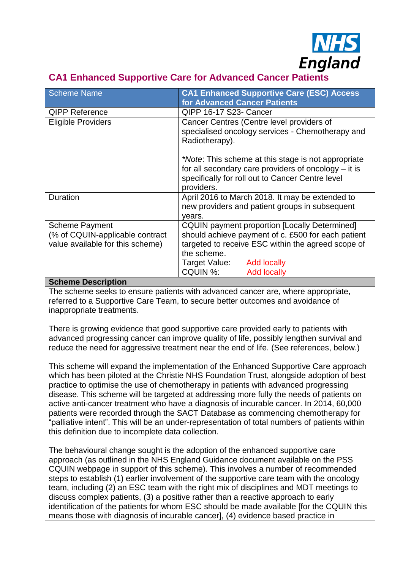

# **CA1 Enhanced Supportive Care for Advanced Cancer Patients**

| Scheme Name                                                                                                                                                  | <b>CA1 Enhanced Supportive Care (ESC) Access</b><br>for Advanced Cancer Patients                                                                                                                                                               |
|--------------------------------------------------------------------------------------------------------------------------------------------------------------|------------------------------------------------------------------------------------------------------------------------------------------------------------------------------------------------------------------------------------------------|
| <b>QIPP Reference</b>                                                                                                                                        | QIPP 16-17 S23- Cancer                                                                                                                                                                                                                         |
| <b>Eligible Providers</b>                                                                                                                                    | Cancer Centres (Centre level providers of<br>specialised oncology services - Chemotherapy and<br>Radiotherapy).                                                                                                                                |
|                                                                                                                                                              | *Note: This scheme at this stage is not appropriate<br>for all secondary care providers of oncology $-$ it is<br>specifically for roll out to Cancer Centre level<br>providers.                                                                |
| Duration                                                                                                                                                     | April 2016 to March 2018. It may be extended to<br>new providers and patient groups in subsequent<br>years.                                                                                                                                    |
| <b>Scheme Payment</b><br>(% of CQUIN-applicable contract)<br>value available for this scheme)<br>$\sim$ $\sim$<br>$\mathbf{r} = \mathbf{r} \cdot \mathbf{r}$ | <b>CQUIN</b> payment proportion [Locally Determined]<br>should achieve payment of c. £500 for each patient<br>targeted to receive ESC within the agreed scope of<br>the scheme.<br>Target Value: Add locally<br>CQUIN %:<br><b>Add locally</b> |

**Scheme Description** The scheme seeks to ensure patients with advanced cancer are, where appropriate, referred to a Supportive Care Team, to secure better outcomes and avoidance of

inappropriate treatments.

There is growing evidence that good supportive care provided early to patients with advanced progressing cancer can improve quality of life, possibly lengthen survival and reduce the need for aggressive treatment near the end of life. (See references, below.)

This scheme will expand the implementation of the Enhanced Supportive Care approach which has been piloted at the Christie NHS Foundation Trust, alongside adoption of best practice to optimise the use of chemotherapy in patients with advanced progressing disease. This scheme will be targeted at addressing more fully the needs of patients on active anti-cancer treatment who have a diagnosis of incurable cancer. In 2014, 60,000 patients were recorded through the SACT Database as commencing chemotherapy for "palliative intent". This will be an under-representation of total numbers of patients within this definition due to incomplete data collection.

The behavioural change sought is the adoption of the enhanced supportive care approach (as outlined in the NHS England Guidance document available on the PSS CQUIN webpage in support of this scheme). This involves a number of recommended steps to establish (1) earlier involvement of the supportive care team with the oncology team, including (2) an ESC team with the right mix of disciplines and MDT meetings to discuss complex patients, (3) a positive rather than a reactive approach to early identification of the patients for whom ESC should be made available [for the CQUIN this means those with diagnosis of incurable cancer], (4) evidence based practice in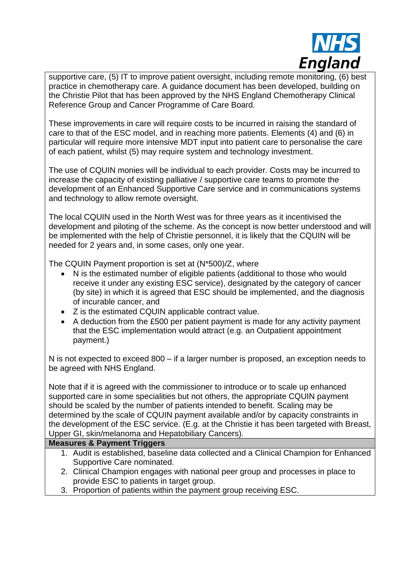

supportive care, (5) IT to improve patient oversight, including remote monitoring, (6) best practice in chemotherapy care. A guidance document has been developed, building on the Christie Pilot that has been approved by the NHS England Chemotherapy Clinical Reference Group and Cancer Programme of Care Board.

These improvements in care will require costs to be incurred in raising the standard of care to that of the ESC model, and in reaching more patients. Elements (4) and (6) in particular will require more intensive MDT input into patient care to personalise the care of each patient, whilst (5) may require system and technology investment.

The use of CQUIN monies will be individual to each provider. Costs may be incurred to increase the capacity of existing palliative / supportive care teams to promote the development of an Enhanced Supportive Care service and in communications systems and technology to allow remote oversight.

The local CQUIN used in the North West was for three years as it incentivised the development and piloting of the scheme. As the concept is now better understood and will be implemented with the help of Christie personnel, it is likely that the CQUIN will be needed for 2 years and, in some cases, only one year.

The CQUIN Payment proportion is set at (N\*500)/Z, where

- N is the estimated number of eligible patients (additional to those who would receive it under any existing ESC service), designated by the category of cancer (by site) in which it is agreed that ESC should be implemented, and the diagnosis of incurable cancer, and
- Z is the estimated CQUIN applicable contract value.
- A deduction from the £500 per patient payment is made for any activity payment that the ESC implementation would attract (e.g. an Outpatient appointment payment.)

N is not expected to exceed 800 – if a larger number is proposed, an exception needs to be agreed with NHS England.

Note that if it is agreed with the commissioner to introduce or to scale up enhanced supported care in some specialities but not others, the appropriate CQUIN payment should be scaled by the number of patients intended to benefit. Scaling may be determined by the scale of CQUIN payment available and/or by capacity constraints in the development of the ESC service. (E.g. at the Christie it has been targeted with Breast, Upper GI, skin/melanoma and Hepatobiliary Cancers).

## **Measures & Payment Triggers**

- 1. Audit is established, baseline data collected and a Clinical Champion for Enhanced Supportive Care nominated.
- 2. Clinical Champion engages with national peer group and processes in place to provide ESC to patients in target group.
- 3. Proportion of patients within the payment group receiving ESC.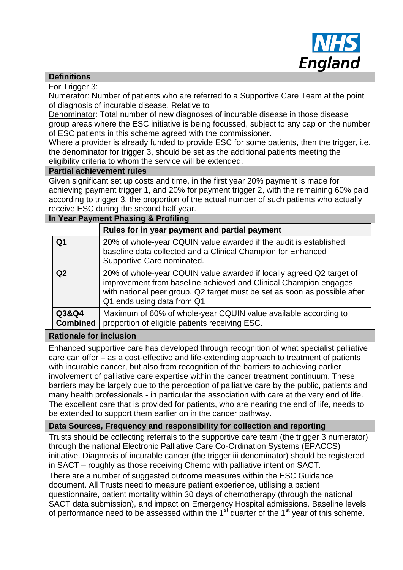

## **Definitions**

For Trigger 3:

Numerator: Number of patients who are referred to a Supportive Care Team at the point of diagnosis of incurable disease, Relative to

Denominator: Total number of new diagnoses of incurable disease in those disease group areas where the ESC initiative is being focussed, subject to any cap on the number of ESC patients in this scheme agreed with the commissioner.

Where a provider is already funded to provide ESC for some patients, then the trigger, i.e. the denominator for trigger 3, should be set as the additional patients meeting the eligibility criteria to whom the service will be extended.

## **Partial achievement rules**

Given significant set up costs and time, in the first year 20% payment is made for achieving payment trigger 1, and 20% for payment trigger 2, with the remaining 60% paid according to trigger 3, the proportion of the actual number of such patients who actually receive ESC during the second half year.

## **In Year Payment Phasing & Profiling**

|                          | Rules for in year payment and partial payment                                                                                                                                                                                                       |
|--------------------------|-----------------------------------------------------------------------------------------------------------------------------------------------------------------------------------------------------------------------------------------------------|
| Q <sub>1</sub>           | 20% of whole-year CQUIN value awarded if the audit is established,<br>baseline data collected and a Clinical Champion for Enhanced<br>Supportive Care nominated.                                                                                    |
| Q <sub>2</sub>           | 20% of whole-year CQUIN value awarded if locally agreed Q2 target of<br>improvement from baseline achieved and Clinical Champion engages<br>with national peer group. Q2 target must be set as soon as possible after<br>Q1 ends using data from Q1 |
| Q3&Q4<br><b>Combined</b> | Maximum of 60% of whole-year CQUIN value available according to<br>proportion of eligible patients receiving ESC.                                                                                                                                   |

## **Rationale for inclusion**

Enhanced supportive care has developed through recognition of what specialist palliative care can offer – as a cost-effective and life-extending approach to treatment of patients with incurable cancer, but also from recognition of the barriers to achieving earlier involvement of palliative care expertise within the cancer treatment continuum. These barriers may be largely due to the perception of palliative care by the public, patients and many health professionals - in particular the association with care at the very end of life. The excellent care that is provided for patients, who are nearing the end of life, needs to be extended to support them earlier on in the cancer pathway.

## **Data Sources, Frequency and responsibility for collection and reporting**

Trusts should be collecting referrals to the supportive care team (the trigger 3 numerator) through the national Electronic Palliative Care Co-Ordination Systems (EPACCS) initiative. Diagnosis of incurable cancer (the trigger iii denominator) should be registered in SACT – roughly as those receiving Chemo with palliative intent on SACT. There are a number of suggested outcome measures within the ESC Guidance document. All Trusts need to measure patient experience, utilising a patient questionnaire, patient mortality within 30 days of chemotherapy (through the national SACT data submission), and impact on Emergency Hospital admissions. Baseline levels of performance need to be assessed within the  $1<sup>st</sup>$  quarter of the  $1<sup>st</sup>$  year of this scheme.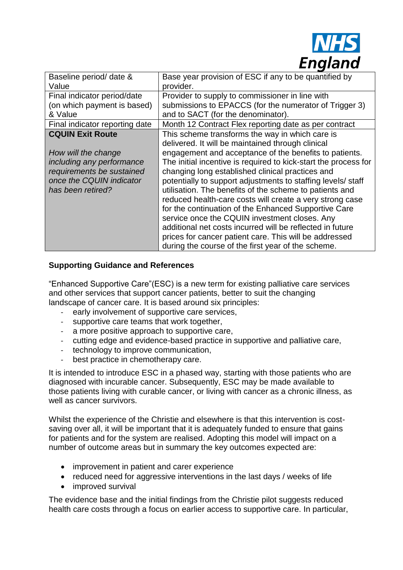

| Baseline period/ date &<br>Value | Base year provision of ESC if any to be quantified by<br>provider. |
|----------------------------------|--------------------------------------------------------------------|
| Final indicator period/date      | Provider to supply to commissioner in line with                    |
| (on which payment is based)      | submissions to EPACCS (for the numerator of Trigger 3)             |
| & Value                          | and to SACT (for the denominator).                                 |
| Final indicator reporting date   | Month 12 Contract Flex reporting date as per contract              |
| <b>CQUIN Exit Route</b>          | This scheme transforms the way in which care is                    |
|                                  | delivered. It will be maintained through clinical                  |
| How will the change              | engagement and acceptance of the benefits to patients.             |
| including any performance        | The initial incentive is required to kick-start the process for    |
| requirements be sustained        | changing long established clinical practices and                   |
| once the CQUIN indicator         | potentially to support adjustments to staffing levels/ staff       |
| has been retired?                | utilisation. The benefits of the scheme to patients and            |
|                                  | reduced health-care costs will create a very strong case           |
|                                  | for the continuation of the Enhanced Supportive Care               |
|                                  | service once the CQUIN investment closes. Any                      |
|                                  | additional net costs incurred will be reflected in future          |
|                                  | prices for cancer patient care. This will be addressed             |
|                                  | during the course of the first year of the scheme.                 |

## **Supporting Guidance and References**

"Enhanced Supportive Care"(ESC) is a new term for existing palliative care services and other services that support cancer patients, better to suit the changing landscape of cancer care. It is based around six principles:

- early involvement of supportive care services,
- supportive care teams that work together,
- a more positive approach to supportive care,
- cutting edge and evidence-based practice in supportive and palliative care,
- technology to improve communication,
- best practice in chemotherapy care.

It is intended to introduce ESC in a phased way, starting with those patients who are diagnosed with incurable cancer. Subsequently, ESC may be made available to those patients living with curable cancer, or living with cancer as a chronic illness, as well as cancer survivors.

Whilst the experience of the Christie and elsewhere is that this intervention is costsaving over all, it will be important that it is adequately funded to ensure that gains for patients and for the system are realised. Adopting this model will impact on a number of outcome areas but in summary the key outcomes expected are:

- improvement in patient and carer experience
- reduced need for aggressive interventions in the last days / weeks of life
- improved survival

The evidence base and the initial findings from the Christie pilot suggests reduced health care costs through a focus on earlier access to supportive care. In particular,